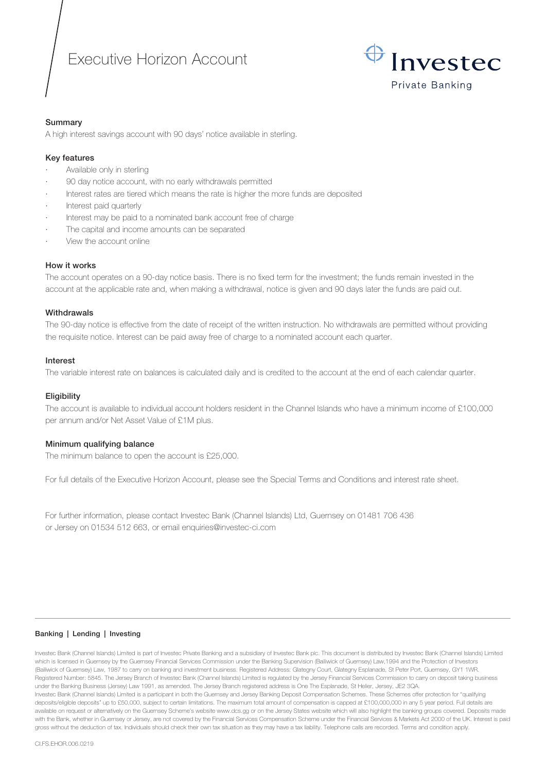# Executive Horizon Account



# Summary

A high interest savings account with 90 days' notice available in sterling.

# Key features

- Available only in sterling
- · 90 day notice account, with no early withdrawals permitted
- Interest rates are tiered which means the rate is higher the more funds are deposited
- Interest paid quarterly
- Interest may be paid to a nominated bank account free of charge
- The capital and income amounts can be separated
- View the account online

# How it works

The account operates on a 90-day notice basis. There is no fixed term for the investment; the funds remain invested in the account at the applicable rate and, when making a withdrawal, notice is given and 90 days later the funds are paid out.

# **Withdrawals**

The 90-day notice is effective from the date of receipt of the written instruction. No withdrawals are permitted without providing the requisite notice. Interest can be paid away free of charge to a nominated account each quarter.

#### Interest

The variable interest rate on balances is calculated daily and is credited to the account at the end of each calendar quarter.

#### **Eligibility**

The account is available to individual account holders resident in the Channel Islands who have a minimum income of £100,000 per annum and/or Net Asset Value of £1M plus.

#### Minimum qualifying balance

The minimum balance to open the account is £25,000.

For full details of the Executive Horizon Account, please see the Special Terms and Conditions and interest rate sheet.

For further information, please contact Investec Bank (Channel Islands) Ltd, Guernsey on 01481 706 436 or Jersey on 01534 512 663, or email enquiries@investec-ci.com

#### Banking | Lending | Investing

Investec Bank (Channel Islands) Limited is part of Investec Private Banking and a subsidiary of Investec Bank plc. This document is distributed by Investec Bank (Channel Islands) Limited which is licensed in Guernsey by the Guernsey Financial Services Commission under the Banking Supervision (Bailiwick of Guernsey) Law,1994 and the Protection of Investors (Bailiwick of Guernsey) Law, 1987 to carry on banking and investment business. Registered Address: Glategny Court, Glategny Esplanade, St Peter Port, Guernsey, GY1 1WR. Registered Number: 5845. The Jersey Branch of Investec Bank (Channel Islands) Limited is regulated by the Jersey Financial Services Commission to carry on deposit taking business under the Banking Business (Jersey) Law 1991, as amended. The Jersey Branch registered address is One The Esplanade, St Helier, Jersey, JE2 3QA. Investec Bank (Channel Islands) Limited is a participant in both the Guernsey and Jersey Banking Deposit Compensation Schemes. These Schemes offer protection for "qualifying deposits/eligible deposits" up to £50,000, subject to certain limitations. The maximum total amount of compensation is capped at £100,000,000 in any 5 year period. Full details are available on request or alternatively on the Guernsey Scheme's website www.dcs.gg or on the Jersey States website which will also highlight the banking groups covered. Deposits made with the Bank, whether in Guernsey or Jersey, are not covered by the Financial Services Compensation Scheme under the Financial Services & Markets Act 2000 of the UK. Interest is paid gross without the deduction of tax. Individuals should check their own tax situation as they may have a tax liability. Telephone calls are recorded. Terms and condition apply.